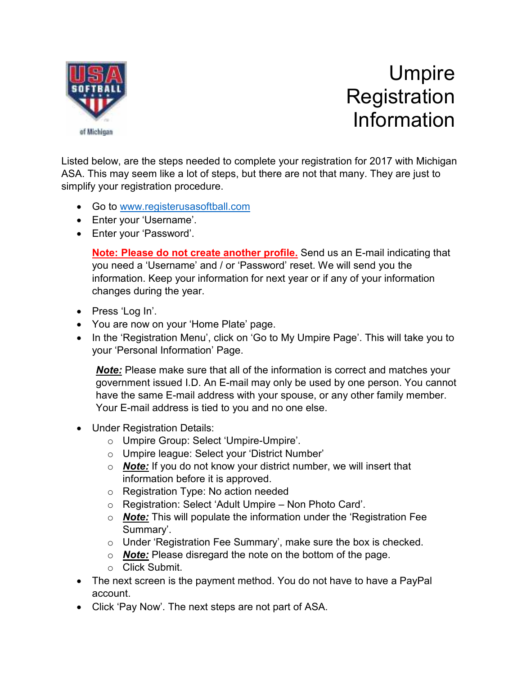

## Umpire **Registration** Information

Listed below, are the steps needed to complete your registration for 2017 with Michigan ASA. This may seem like a lot of steps, but there are not that many. They are just to simplify your registration procedure.

- Go to www.registerusasoftball.com
- Enter your 'Username'.
- Enter your 'Password'.

**Note: Please do not create another profile.** Send us an E-mail indicating that you need a 'Username' and / or 'Password' reset. We will send you the information. Keep your information for next year or if any of your information changes during the year.

- Press 'Log In'.
- You are now on your 'Home Plate' page.
- In the 'Registration Menu', click on 'Go to My Umpire Page'. This will take you to your 'Personal Information' Page.

*Note:* Please make sure that all of the information is correct and matches your government issued I.D. An E-mail may only be used by one person. You cannot have the same E-mail address with your spouse, or any other family member. Your E-mail address is tied to you and no one else.

- Under Registration Details:
	- o Umpire Group: Select 'Umpire-Umpire'.
	- o Umpire league: Select your 'District Number'
	- o *Note:* If you do not know your district number, we will insert that information before it is approved.
	- o Registration Type: No action needed
	- o Registration: Select 'Adult Umpire Non Photo Card'.
	- o *Note:* This will populate the information under the 'Registration Fee Summary'.
	- o Under 'Registration Fee Summary', make sure the box is checked.
	- o *Note:* Please disregard the note on the bottom of the page.
	- o Click Submit.
- The next screen is the payment method. You do not have to have a PayPal account.
- Click 'Pay Now'. The next steps are not part of ASA.